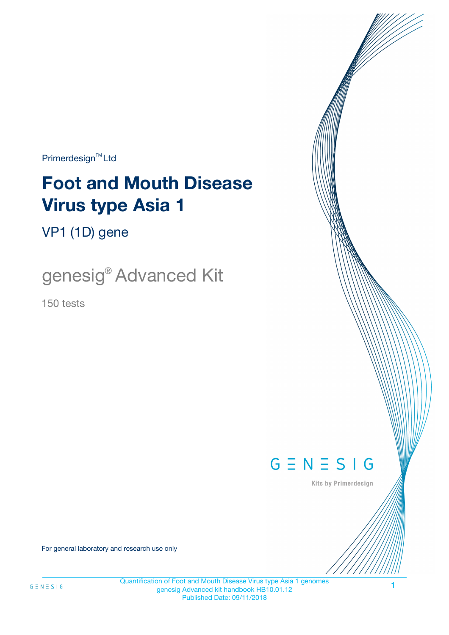$Primerdesign^{\text{TM}}Ltd$ 

# **Foot and Mouth Disease Virus type Asia 1**

VP1 (1D) gene

genesig® Advanced Kit

150 tests



Kits by Primerdesign

For general laboratory and research use only

1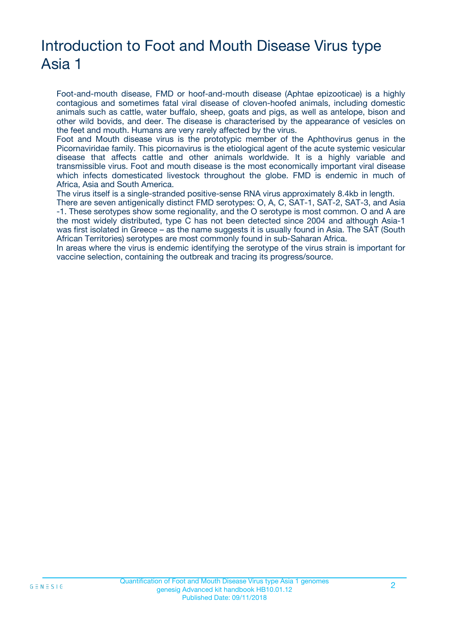# Introduction to Foot and Mouth Disease Virus type Asia 1

Foot-and-mouth disease, FMD or hoof-and-mouth disease (Aphtae epizooticae) is a highly contagious and sometimes fatal viral disease of cloven-hoofed animals, including domestic animals such as cattle, water buffalo, sheep, goats and pigs, as well as antelope, bison and other wild bovids, and deer. The disease is characterised by the appearance of vesicles on the feet and mouth. Humans are very rarely affected by the virus.

Foot and Mouth disease virus is the prototypic member of the Aphthovirus genus in the Picornaviridae family. This picornavirus is the etiological agent of the acute systemic vesicular disease that affects cattle and other animals worldwide. It is a highly variable and transmissible virus. Foot and mouth disease is the most economically important viral disease which infects domesticated livestock throughout the globe. FMD is endemic in much of Africa, Asia and South America.

The virus itself is a single-stranded positive-sense RNA virus approximately 8.4kb in length.

There are seven antigenically distinct FMD serotypes: O, A, C, SAT-1, SAT-2, SAT-3, and Asia -1. These serotypes show some regionality, and the O serotype is most common. O and A are the most widely distributed, type C has not been detected since 2004 and although Asia-1 was first isolated in Greece – as the name suggests it is usually found in Asia. The SAT (South African Territories) serotypes are most commonly found in sub-Saharan Africa.

In areas where the virus is endemic identifying the serotype of the virus strain is important for vaccine selection, containing the outbreak and tracing its progress/source.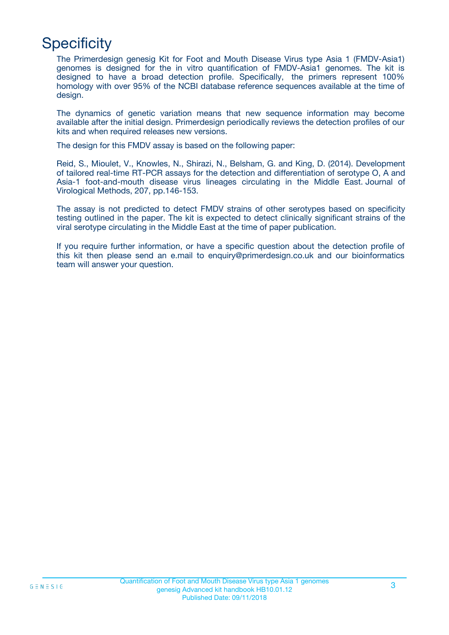# **Specificity**

The Primerdesign genesig Kit for Foot and Mouth Disease Virus type Asia 1 (FMDV-Asia1) genomes is designed for the in vitro quantification of FMDV-Asia1 genomes. The kit is designed to have a broad detection profile. Specifically, the primers represent 100% homology with over 95% of the NCBI database reference sequences available at the time of design.

The dynamics of genetic variation means that new sequence information may become available after the initial design. Primerdesign periodically reviews the detection profiles of our kits and when required releases new versions.

The design for this FMDV assay is based on the following paper:

Reid, S., Mioulet, V., Knowles, N., Shirazi, N., Belsham, G. and King, D. (2014). Development of tailored real-time RT-PCR assays for the detection and differentiation of serotype O, A and Asia-1 foot-and-mouth disease virus lineages circulating in the Middle East. Journal of Virological Methods, 207, pp.146-153.

The assay is not predicted to detect FMDV strains of other serotypes based on specificity testing outlined in the paper. The kit is expected to detect clinically significant strains of the viral serotype circulating in the Middle East at the time of paper publication.

If you require further information, or have a specific question about the detection profile of this kit then please send an e.mail to enquiry@primerdesign.co.uk and our bioinformatics team will answer your question.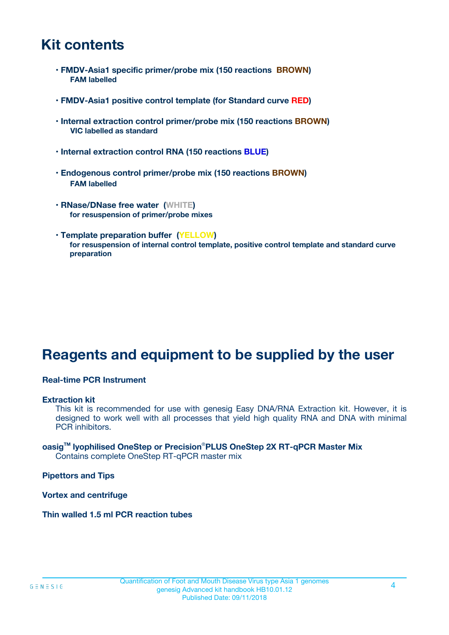# **Kit contents**

- **FMDV-Asia1 specific primer/probe mix (150 reactions BROWN) FAM labelled**
- **FMDV-Asia1 positive control template (for Standard curve RED)**
- **Internal extraction control primer/probe mix (150 reactions BROWN) VIC labelled as standard**
- **Internal extraction control RNA (150 reactions BLUE)**
- **Endogenous control primer/probe mix (150 reactions BROWN) FAM labelled**
- **RNase/DNase free water (WHITE) for resuspension of primer/probe mixes**
- **Template preparation buffer (YELLOW) for resuspension of internal control template, positive control template and standard curve preparation**

# **Reagents and equipment to be supplied by the user**

#### **Real-time PCR Instrument**

#### **Extraction kit**

This kit is recommended for use with genesig Easy DNA/RNA Extraction kit. However, it is designed to work well with all processes that yield high quality RNA and DNA with minimal PCR inhibitors.

#### **oasigTM lyophilised OneStep or Precision**®**PLUS OneStep 2X RT-qPCR Master Mix** Contains complete OneStep RT-qPCR master mix

**Pipettors and Tips**

**Vortex and centrifuge**

**Thin walled 1.5 ml PCR reaction tubes**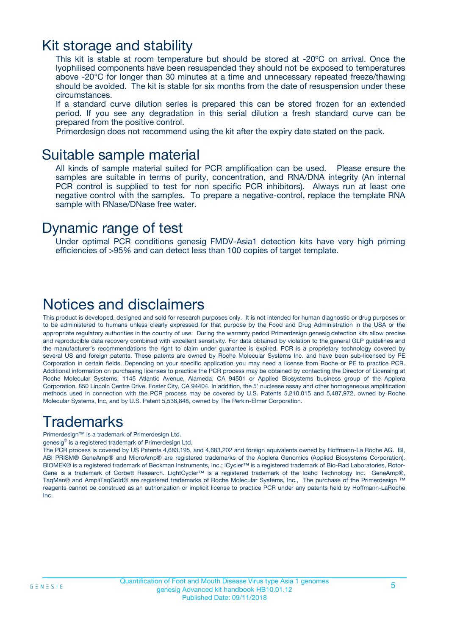### Kit storage and stability

This kit is stable at room temperature but should be stored at -20ºC on arrival. Once the lyophilised components have been resuspended they should not be exposed to temperatures above -20°C for longer than 30 minutes at a time and unnecessary repeated freeze/thawing should be avoided. The kit is stable for six months from the date of resuspension under these circumstances.

If a standard curve dilution series is prepared this can be stored frozen for an extended period. If you see any degradation in this serial dilution a fresh standard curve can be prepared from the positive control.

Primerdesign does not recommend using the kit after the expiry date stated on the pack.

### Suitable sample material

All kinds of sample material suited for PCR amplification can be used. Please ensure the samples are suitable in terms of purity, concentration, and RNA/DNA integrity (An internal PCR control is supplied to test for non specific PCR inhibitors). Always run at least one negative control with the samples. To prepare a negative-control, replace the template RNA sample with RNase/DNase free water.

### Dynamic range of test

Under optimal PCR conditions genesig FMDV-Asia1 detection kits have very high priming efficiencies of >95% and can detect less than 100 copies of target template.

## Notices and disclaimers

This product is developed, designed and sold for research purposes only. It is not intended for human diagnostic or drug purposes or to be administered to humans unless clearly expressed for that purpose by the Food and Drug Administration in the USA or the appropriate regulatory authorities in the country of use. During the warranty period Primerdesign genesig detection kits allow precise and reproducible data recovery combined with excellent sensitivity. For data obtained by violation to the general GLP guidelines and the manufacturer's recommendations the right to claim under guarantee is expired. PCR is a proprietary technology covered by several US and foreign patents. These patents are owned by Roche Molecular Systems Inc. and have been sub-licensed by PE Corporation in certain fields. Depending on your specific application you may need a license from Roche or PE to practice PCR. Additional information on purchasing licenses to practice the PCR process may be obtained by contacting the Director of Licensing at Roche Molecular Systems, 1145 Atlantic Avenue, Alameda, CA 94501 or Applied Biosystems business group of the Applera Corporation, 850 Lincoln Centre Drive, Foster City, CA 94404. In addition, the 5' nuclease assay and other homogeneous amplification methods used in connection with the PCR process may be covered by U.S. Patents 5,210,015 and 5,487,972, owned by Roche Molecular Systems, Inc, and by U.S. Patent 5,538,848, owned by The Perkin-Elmer Corporation.

# Trademarks

Primerdesign™ is a trademark of Primerdesign Ltd.

genesig® is a registered trademark of Primerdesign Ltd.

The PCR process is covered by US Patents 4,683,195, and 4,683,202 and foreign equivalents owned by Hoffmann-La Roche AG. BI, ABI PRISM® GeneAmp® and MicroAmp® are registered trademarks of the Applera Genomics (Applied Biosystems Corporation). BIOMEK® is a registered trademark of Beckman Instruments, Inc.; iCycler™ is a registered trademark of Bio-Rad Laboratories, Rotor-Gene is a trademark of Corbett Research. LightCycler™ is a registered trademark of the Idaho Technology Inc. GeneAmp®, TaqMan® and AmpliTaqGold® are registered trademarks of Roche Molecular Systems, Inc., The purchase of the Primerdesign ™ reagents cannot be construed as an authorization or implicit license to practice PCR under any patents held by Hoffmann-LaRoche Inc.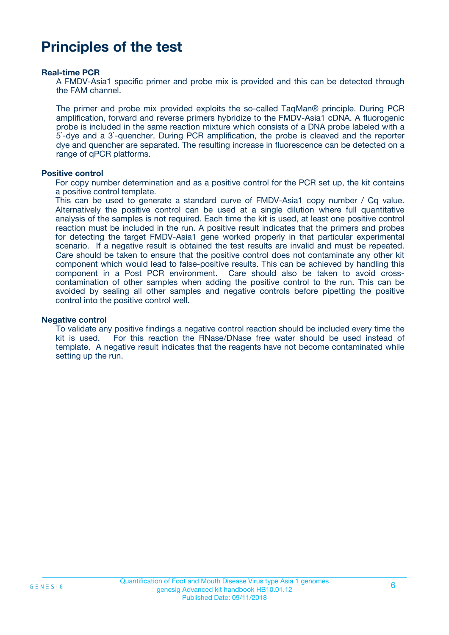# **Principles of the test**

#### **Real-time PCR**

A FMDV-Asia1 specific primer and probe mix is provided and this can be detected through the FAM channel.

The primer and probe mix provided exploits the so-called TaqMan® principle. During PCR amplification, forward and reverse primers hybridize to the FMDV-Asia1 cDNA. A fluorogenic probe is included in the same reaction mixture which consists of a DNA probe labeled with a 5`-dye and a 3`-quencher. During PCR amplification, the probe is cleaved and the reporter dye and quencher are separated. The resulting increase in fluorescence can be detected on a range of qPCR platforms.

#### **Positive control**

For copy number determination and as a positive control for the PCR set up, the kit contains a positive control template.

This can be used to generate a standard curve of FMDV-Asia1 copy number / Cq value. Alternatively the positive control can be used at a single dilution where full quantitative analysis of the samples is not required. Each time the kit is used, at least one positive control reaction must be included in the run. A positive result indicates that the primers and probes for detecting the target FMDV-Asia1 gene worked properly in that particular experimental scenario. If a negative result is obtained the test results are invalid and must be repeated. Care should be taken to ensure that the positive control does not contaminate any other kit component which would lead to false-positive results. This can be achieved by handling this component in a Post PCR environment. Care should also be taken to avoid crosscontamination of other samples when adding the positive control to the run. This can be avoided by sealing all other samples and negative controls before pipetting the positive control into the positive control well.

#### **Negative control**

To validate any positive findings a negative control reaction should be included every time the kit is used. For this reaction the RNase/DNase free water should be used instead of template. A negative result indicates that the reagents have not become contaminated while setting up the run.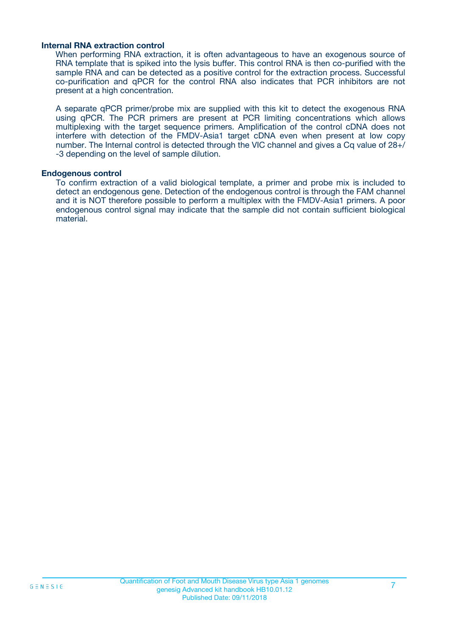#### **Internal RNA extraction control**

When performing RNA extraction, it is often advantageous to have an exogenous source of RNA template that is spiked into the lysis buffer. This control RNA is then co-purified with the sample RNA and can be detected as a positive control for the extraction process. Successful co-purification and qPCR for the control RNA also indicates that PCR inhibitors are not present at a high concentration.

A separate qPCR primer/probe mix are supplied with this kit to detect the exogenous RNA using qPCR. The PCR primers are present at PCR limiting concentrations which allows multiplexing with the target sequence primers. Amplification of the control cDNA does not interfere with detection of the FMDV-Asia1 target cDNA even when present at low copy number. The Internal control is detected through the VIC channel and gives a Cq value of 28+/ -3 depending on the level of sample dilution.

#### **Endogenous control**

To confirm extraction of a valid biological template, a primer and probe mix is included to detect an endogenous gene. Detection of the endogenous control is through the FAM channel and it is NOT therefore possible to perform a multiplex with the FMDV-Asia1 primers. A poor endogenous control signal may indicate that the sample did not contain sufficient biological material.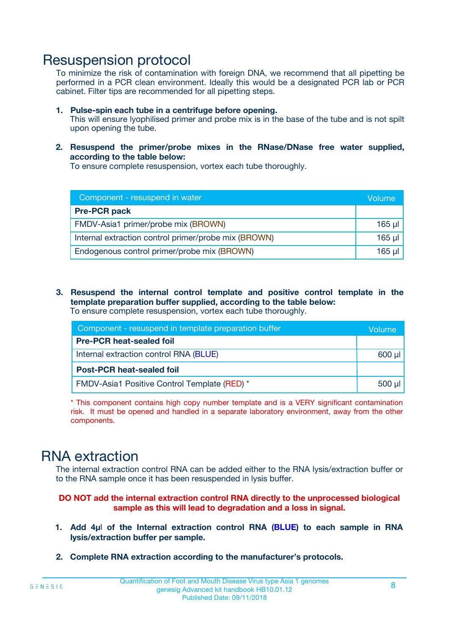## Resuspension protocol

To minimize the risk of contamination with foreign DNA, we recommend that all pipetting be performed in a PCR clean environment. Ideally this would be a designated PCR lab or PCR cabinet. Filter tips are recommended for all pipetting steps.

- **1. Pulse-spin each tube in a centrifuge before opening.** This will ensure lyophilised primer and probe mix is in the base of the tube and is not spilt upon opening the tube.
- **2. Resuspend the primer/probe mixes in the RNase/DNase free water supplied, according to the table below:**

To ensure complete resuspension, vortex each tube thoroughly.

| Component - resuspend in water                       |          |  |
|------------------------------------------------------|----------|--|
| <b>Pre-PCR pack</b>                                  |          |  |
| FMDV-Asia1 primer/probe mix (BROWN)                  | $165$ µl |  |
| Internal extraction control primer/probe mix (BROWN) | $165$ µl |  |
| Endogenous control primer/probe mix (BROWN)          | 165 µl   |  |

**3. Resuspend the internal control template and positive control template in the template preparation buffer supplied, according to the table below:** To ensure complete resuspension, vortex each tube thoroughly.

| Component - resuspend in template preparation buffer |  |  |  |
|------------------------------------------------------|--|--|--|
| <b>Pre-PCR heat-sealed foil</b>                      |  |  |  |
| Internal extraction control RNA (BLUE)               |  |  |  |
| <b>Post-PCR heat-sealed foil</b>                     |  |  |  |
| FMDV-Asia1 Positive Control Template (RED) *         |  |  |  |

\* This component contains high copy number template and is a VERY significant contamination risk. It must be opened and handled in a separate laboratory environment, away from the other components.

# RNA extraction

The internal extraction control RNA can be added either to the RNA lysis/extraction buffer or to the RNA sample once it has been resuspended in lysis buffer.

**DO NOT add the internal extraction control RNA directly to the unprocessed biological sample as this will lead to degradation and a loss in signal.**

- **1. Add 4µ**l **of the Internal extraction control RNA (BLUE) to each sample in RNA lysis/extraction buffer per sample.**
- **2. Complete RNA extraction according to the manufacturer's protocols.**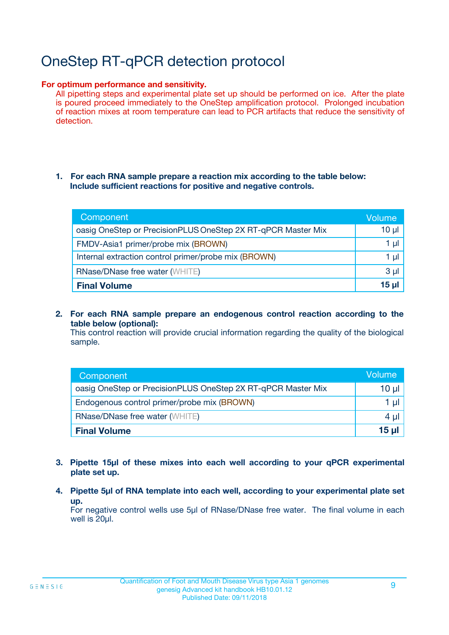# OneStep RT-qPCR detection protocol

#### **For optimum performance and sensitivity.**

All pipetting steps and experimental plate set up should be performed on ice. After the plate is poured proceed immediately to the OneStep amplification protocol. Prolonged incubation of reaction mixes at room temperature can lead to PCR artifacts that reduce the sensitivity of detection.

#### **1. For each RNA sample prepare a reaction mix according to the table below: Include sufficient reactions for positive and negative controls.**

| Component                                                    | Volume   |
|--------------------------------------------------------------|----------|
| oasig OneStep or PrecisionPLUS OneStep 2X RT-qPCR Master Mix | $10 \mu$ |
| FMDV-Asia1 primer/probe mix (BROWN)                          | 1 µl     |
| Internal extraction control primer/probe mix (BROWN)         | 1 µI     |
| <b>RNase/DNase free water (WHITE)</b>                        | $3 \mu$  |
| <b>Final Volume</b>                                          | 15 ul    |

**2. For each RNA sample prepare an endogenous control reaction according to the table below (optional):**

This control reaction will provide crucial information regarding the quality of the biological sample.

| Component                                                    | Volume   |
|--------------------------------------------------------------|----------|
| oasig OneStep or PrecisionPLUS OneStep 2X RT-qPCR Master Mix | 10 $\mu$ |
| Endogenous control primer/probe mix (BROWN)                  | 1 ul     |
| <b>RNase/DNase free water (WHITE)</b>                        | $4 \mu$  |
| <b>Final Volume</b>                                          | 15 µl    |

- **3. Pipette 15µl of these mixes into each well according to your qPCR experimental plate set up.**
- **4. Pipette 5µl of RNA template into each well, according to your experimental plate set up.**

For negative control wells use 5µl of RNase/DNase free water. The final volume in each well is 20µl.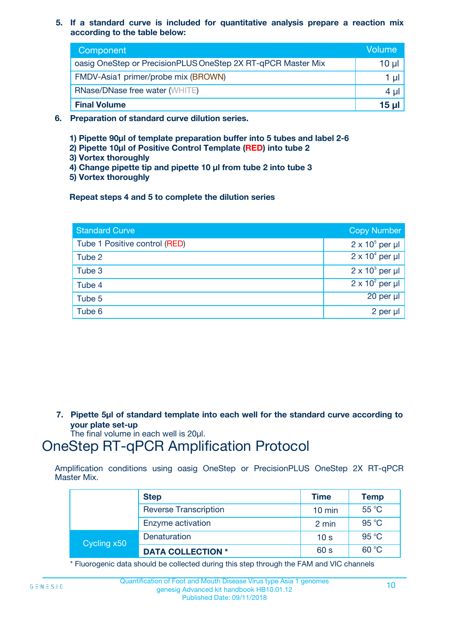**5. If a standard curve is included for quantitative analysis prepare a reaction mix according to the table below:**

| Component                                                    | Volume       |
|--------------------------------------------------------------|--------------|
| oasig OneStep or PrecisionPLUS OneStep 2X RT-qPCR Master Mix | $10 \mu$     |
| FMDV-Asia1 primer/probe mix (BROWN)                          |              |
| <b>RNase/DNase free water (WHITE)</b>                        | 4 U          |
| <b>Final Volume</b>                                          | <u>15 µl</u> |

- **6. Preparation of standard curve dilution series.**
	- **1) Pipette 90µl of template preparation buffer into 5 tubes and label 2-6**
	- **2) Pipette 10µl of Positive Control Template (RED) into tube 2**
	- **3) Vortex thoroughly**
	- **4) Change pipette tip and pipette 10 µl from tube 2 into tube 3**
	- **5) Vortex thoroughly**

**Repeat steps 4 and 5 to complete the dilution series**

| <b>Standard Curve</b>         | <b>Copy Number</b>     |
|-------------------------------|------------------------|
| Tube 1 Positive control (RED) | $2 \times 10^5$ per µl |
| Tube 2                        | $2 \times 10^4$ per µl |
| Tube 3                        | $2 \times 10^3$ per µl |
| Tube 4                        | $2 \times 10^2$ per µl |
| Tube 5                        | 20 per µl              |
| Tube 6                        | 2 per µl               |

**7. Pipette 5µl of standard template into each well for the standard curve according to your plate set-up**

The final volume in each well is 20µl.

# OneStep RT-qPCR Amplification Protocol

Amplification conditions using oasig OneStep or PrecisionPLUS OneStep 2X RT-qPCR Master Mix.

|             | <b>Step</b>                  | <b>Time</b>      | <b>Temp</b>    |
|-------------|------------------------------|------------------|----------------|
|             | <b>Reverse Transcription</b> | $10 \text{ min}$ | 55 °C          |
|             | Enzyme activation            | 2 min            | 95 °C          |
| Cycling x50 | Denaturation                 | 10 <sub>s</sub>  | $95^{\circ}$ C |
|             | <b>DATA COLLECTION *</b>     | 60 s             | 60 °C          |

\* Fluorogenic data should be collected during this step through the FAM and VIC channels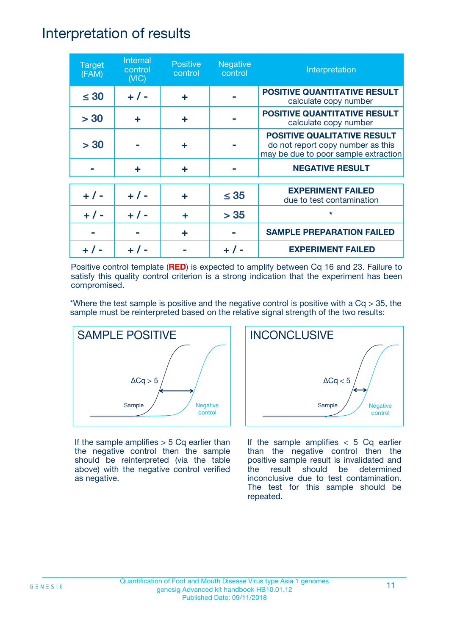## Interpretation of results

| <b>Target</b><br>(FAM) | Internal<br>control<br>(NIC) | <b>Positive</b><br>control | <b>Negative</b><br>control | Interpretation                                                                                                  |
|------------------------|------------------------------|----------------------------|----------------------------|-----------------------------------------------------------------------------------------------------------------|
| $\leq 30$              | $+ 1 -$                      | ÷                          |                            | <b>POSITIVE QUANTITATIVE RESULT</b><br>calculate copy number                                                    |
| > 30                   | ÷                            | ÷                          |                            | <b>POSITIVE QUANTITATIVE RESULT</b><br>calculate copy number                                                    |
| > 30                   |                              | ÷                          |                            | <b>POSITIVE QUALITATIVE RESULT</b><br>do not report copy number as this<br>may be due to poor sample extraction |
|                        | ÷                            | ÷                          |                            | <b>NEGATIVE RESULT</b>                                                                                          |
| $+ 1 -$                | $+ 1 -$                      | ÷                          | $\leq$ 35                  | <b>EXPERIMENT FAILED</b><br>due to test contamination                                                           |
|                        | $+ 1 -$                      |                            | > 35                       | $\star$                                                                                                         |
|                        |                              | ÷                          |                            | <b>SAMPLE PREPARATION FAILED</b>                                                                                |
|                        |                              |                            |                            | <b>EXPERIMENT FAILED</b>                                                                                        |

Positive control template (**RED**) is expected to amplify between Cq 16 and 23. Failure to satisfy this quality control criterion is a strong indication that the experiment has been compromised.

\*Where the test sample is positive and the negative control is positive with a  $Cq > 35$ , the sample must be reinterpreted based on the relative signal strength of the two results:



If the sample amplifies  $> 5$  Cq earlier than the negative control then the sample should be reinterpreted (via the table above) with the negative control verified as negative.



If the sample amplifies  $< 5$  Cq earlier than the negative control then the positive sample result is invalidated and the result should be determined inconclusive due to test contamination. The test for this sample should be repeated.